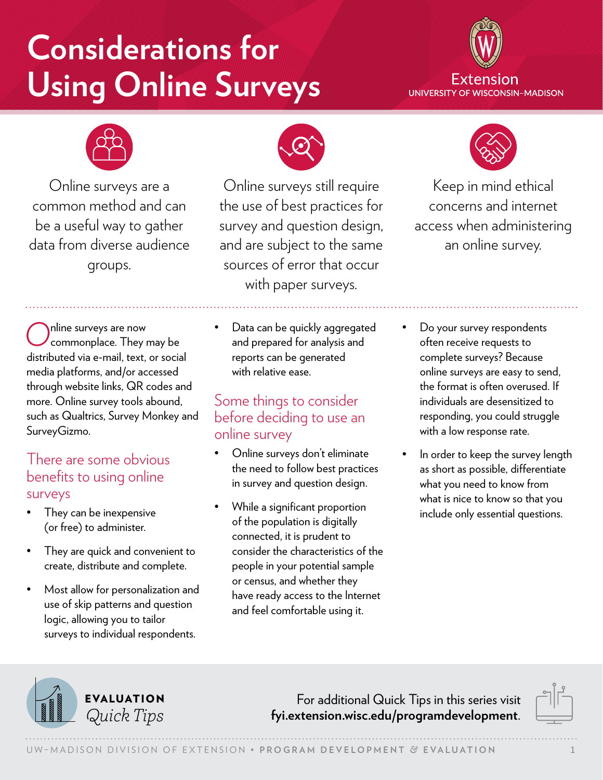# **Considerations for Using Online Surveys**





Online surveys are a common method and can be a useful way to gather data from diverse audience groups.



Online surveys still require the use of best practices for survey and question design, and are subject to the same sources of error that occur with paper surveys.



Keep in mind ethical concerns and internet access when administering an online survey.

Online surveys are now<br>Commonplace. They may be distributed via e-mail, text, or social media platforms, and/or accessed through website links, QR codes and more. Online survey tools abound, such as Qualtrics, Survey Monkey and SurveyGizmo.

#### There are some obvious benefits to using online surveys

- They can be inexpensive (or free) to administer.
- They are quick and convenient to create, distribute and complete.
- Most allow for personalization and use of skip patterns and question logic, allowing you to tailor surveys to individual respondents.

Data can be quickly aggregated and prepared for analysis and reports can be generated with relative ease.

### Some things to consider before deciding to use an online survey

- Online surveys don't eliminate the need to follow best practices in survey and question design.
- While a significant proportion of the population is digitally connected, it is prudent to consider the characteristics of the people in your potential sample or census, and whether they have ready access to the Internet and feel comfortable using it.
- Do your survey respondents often receive requests to complete surveys? Because online surveys are easy to send, the format is often overused. If individuals are desensitized to responding, you could struggle with a low response rate.
- In order to keep the survey length as short as possible, differentiate what you need to know from what is nice to know so that you include only essential questions.



For additional Quick Tips in this series visit *Quick Tips* **[fyi.extension.wisc.edu/programdevelopment](https://fyi.extension.wisc.edu/programdevelopment)**.